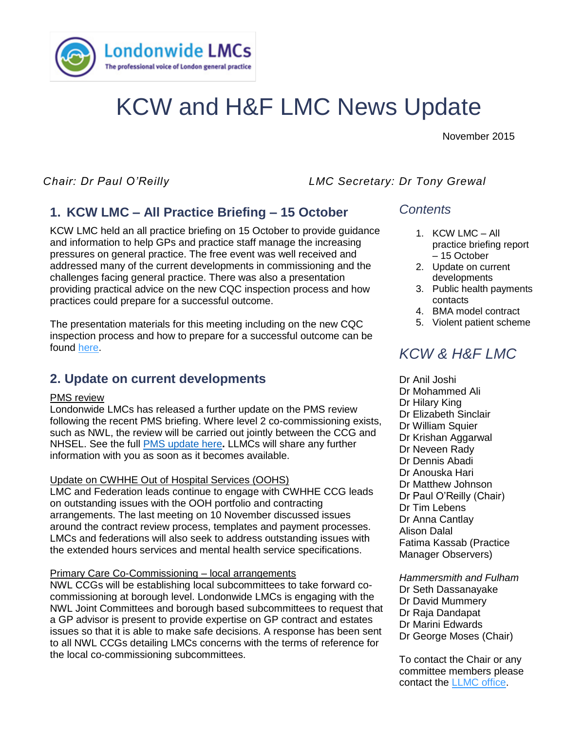

# KCW and H&F LMC News Update

November 2015

*Chair: Dr Paul O'Reilly LMC Secretary: Dr Tony Grewal*

# **1. KCW LMC – All Practice Briefing – 15 October**

and imormation to neip GFs and practice stan manage the increasing<br>pressures on general practice. The free event was well received and KCW LMC held an all practice briefing on 15 October to provide guidance and information to help GPs and practice staff manage the increasing addressed many of the current developments in commissioning and the challenges facing general practice. There was also a presentation providing practical advice on the new CQC inspection process and how practices could prepare for a successful outcome.

The presentation materials for this meeting including on the new CQC inspection process and how to prepare for a successful outcome can be found [here.](http://www.lmc.org.uk/visageimages/member%20area/Kensington%20Chelsea%20and%20Westminster%20LMC/2015/PDF%20inserts/KCW%20Open%20meeting%20CQC%2015.10.2015%20.pdf)

## **2. Update on current developments**

### PMS review

Londonwide LMCs has released a further update on the PMS review following the recent PMS briefing. Where level 2 co-commissioning exists, such as NWL, the review will be carried out jointly between the CCG and NHSEL. See the full [PMS update here](http://www.lmc.org.uk/visageimages/guidance/2015/NW%20sector/PMS%20review%20update%20.pdf)**.** LLMCs will share any further information with you as soon as it becomes available.

### Update on CWHHE Out of Hospital Services (OOHS)

LMC and Federation leads continue to engage with CWHHE CCG leads on outstanding issues with the OOH portfolio and contracting arrangements. The last meeting on 10 November discussed issues around the contract review process, templates and payment processes. LMCs and federations will also seek to address outstanding issues with the extended hours services and mental health service specifications.

### Primary Care Co-Commissioning – local arrangements

NWL CCGs will be establishing local subcommittees to take forward cocommissioning at borough level. Londonwide LMCs is engaging with the NWL Joint Committees and borough based subcommittees to request that a GP advisor is present to provide expertise on GP contract and estates issues so that it is able to make safe decisions. A response has been sent to all NWL CCGs detailing LMCs concerns with the terms of reference for the local co-commissioning subcommittees.

### *Contents*

- 1. KCW LMC All practice briefing report – 15 October
- 2. Update on current developments
- 3. Public health payments contacts
- 4. BMA model contract
- 5. Violent patient scheme

# *KCW & H&F LMC*

Dr Anil Joshi Dr Mohammed Ali Dr Hilary King Dr Elizabeth Sinclair Dr William Squier Dr Krishan Aggarwal Dr Neveen Rady Dr Dennis Abadi Dr Anouska Hari Dr Matthew Johnson Dr Paul O'Reilly (Chair) Dr Tim Lebens Dr Anna Cantlay Alison Dalal Fatima Kassab (Practice Manager Observers)

*Hammersmith and Fulham*  Dr Seth Dassanayake Dr David Mummery Dr Raja Dandapat Dr Marini Edwards Dr George Moses (Chair)

To contact the Chair or any committee members please contact the [LLMC office.](mailto:james.winstanley@lmc.org.uk)